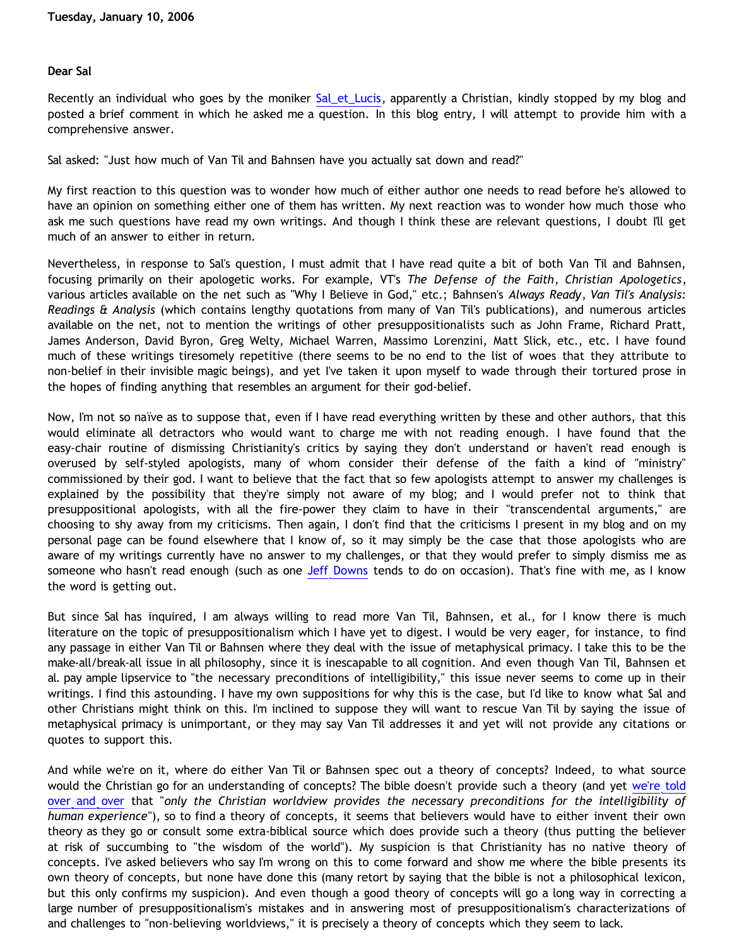## **Dear Sal**

Recently an individual who goes by the moniker [Sal\\_et\\_Lucis](http://thefanfare.blogspot.com/), apparently a Christian, kindly stopped by my blog and posted a brief comment in which he asked me a question. In this blog entry, I will attempt to provide him with a comprehensive answer.

Sal asked: "Just how much of Van Til and Bahnsen have you actually sat down and read?"

My first reaction to this question was to wonder how much of either author one needs to read before he's allowed to have an opinion on something either one of them has written. My next reaction was to wonder how much those who ask me such questions have read my own writings. And though I think these are relevant questions, I doubt I'll get much of an answer to either in return.

Nevertheless, in response to Sal's question, I must admit that I have read quite a bit of both Van Til and Bahnsen, focusing primarily on their apologetic works. For example, VT's *The Defense of the Faith*, *Christian Apologetics*, various articles available on the net such as "Why I Believe in God," etc.; Bahnsen's *Always Ready*, *Van Til's Analysis: Readings & Analysis* (which contains lengthy quotations from many of Van Til's publications), and numerous articles available on the net, not to mention the writings of other presuppositionalists such as John Frame, Richard Pratt, James Anderson, David Byron, Greg Welty, Michael Warren, Massimo Lorenzini, Matt Slick, etc., etc. I have found much of these writings tiresomely repetitive (there seems to be no end to the list of woes that they attribute to non-belief in their invisible magic beings), and yet I've taken it upon myself to wade through their tortured prose in the hopes of finding anything that resembles an argument for their god-belief.

Now, I'm not so naïve as to suppose that, even if I have read everything written by these and other authors, that this would eliminate all detractors who would want to charge me with not reading enough. I have found that the easy-chair routine of dismissing Christianity's critics by saying they don't understand or haven't read enough is overused by self-styled apologists, many of whom consider their defense of the faith a kind of "ministry" commissioned by their god. I want to believe that the fact that so few apologists attempt to answer my challenges is explained by the possibility that they're simply not aware of my blog; and I would prefer not to think that presuppositional apologists, with all the fire-power they claim to have in their "transcendental arguments," are choosing to shy away from my criticisms. Then again, I don't find that the criticisms I present in my blog and on my personal page can be found elsewhere that I know of, so it may simply be the case that those apologists who are aware of my writings currently have no answer to my challenges, or that they would prefer to simply dismiss me as someone who hasn't read enough (such as one [Jeff Downs](http://www.rctr.org/) tends to do on occasion). That's fine with me, as I know the word is getting out.

But since Sal has inquired, I am always willing to read more Van Til, Bahnsen, et al., for I know there is much literature on the topic of presuppositionalism which I have yet to digest. I would be very eager, for instance, to find any passage in either Van Til or Bahnsen where they deal with the issue of metaphysical primacy. I take this to be the make-all/break-all issue in all philosophy, since it is inescapable to all cognition. And even though Van Til, Bahnsen et al. pay ample lipservice to "the necessary preconditions of intelligibility," this issue never seems to come up in their writings. I find this astounding. I have my own suppositions for why this is the case, but I'd like to know what Sal and other Christians might think on this. I'm inclined to suppose they will want to rescue Van Til by saying the issue of metaphysical primacy is unimportant, or they may say Van Til addresses it and yet will not provide any citations or quotes to support this.

And while we're on it, where do either Van Til or Bahnsen spec out a theory of concepts? Indeed, to what source would the Christian go for an understanding of concepts? The bible doesn't provide such a theory (and yet [we're told](http://www.reformed.org/apologetics/index.html?mainframe=http://www.reformed.org/apologetics/martin/pen896.html) [over and over](http://www.reformed.org/apologetics/index.html?mainframe=http://www.reformed.org/apologetics/martin/pen896.html) that "*only the Christian worldview provides the necessary preconditions for the intelligibility of human experience*"), so to find a theory of concepts, it seems that believers would have to either invent their own theory as they go or consult some extra-biblical source which does provide such a theory (thus putting the believer at risk of succumbing to "the wisdom of the world"). My suspicion is that Christianity has no native theory of concepts. I've asked believers who say I'm wrong on this to come forward and show me where the bible presents its own theory of concepts, but none have done this (many retort by saying that the bible is not a philosophical lexicon, but this only confirms my suspicion). And even though a good theory of concepts will go a long way in correcting a large number of presuppositionalism's mistakes and in answering most of presuppositionalism's characterizations of and challenges to "non-believing worldviews," it is precisely a theory of concepts which they seem to lack.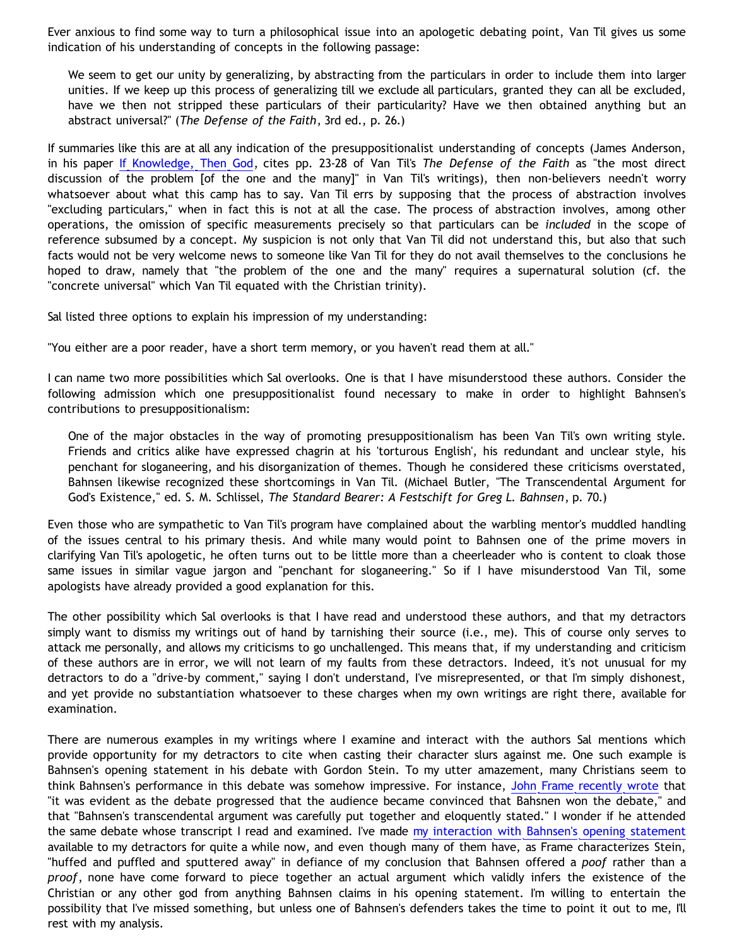Ever anxious to find some way to turn a philosophical issue into an apologetic debating point, Van Til gives us some indication of his understanding of concepts in the following passage:

We seem to get our unity by generalizing, by abstracting from the particulars in order to include them into larger unities. If we keep up this process of generalizing till we exclude all particulars, granted they can all be excluded, have we then not stripped these particulars of their particularity? Have we then obtained anything but an abstract universal?" (*The Defense of the Faith*, 3rd ed., p. 26.)

If summaries like this are at all any indication of the presuppositionalist understanding of concepts (James Anderson, in his paper [If Knowledge, Then God](http://www.ccir.ed.ac.uk/~jad/papers/IfKnowledgeThenGod.pdf), cites pp. 23-28 of Van Til's *The Defense of the Faith* as "the most direct discussion of the problem [of the one and the many]" in Van Til's writings), then non-believers needn't worry whatsoever about what this camp has to say. Van Til errs by supposing that the process of abstraction involves "excluding particulars," when in fact this is not at all the case. The process of abstraction involves, among other operations, the omission of specific measurements precisely so that particulars can be *included* in the scope of reference subsumed by a concept. My suspicion is not only that Van Til did not understand this, but also that such facts would not be very welcome news to someone like Van Til for they do not avail themselves to the conclusions he hoped to draw, namely that "the problem of the one and the many" requires a supernatural solution (cf. the "concrete universal" which Van Til equated with the Christian trinity).

Sal listed three options to explain his impression of my understanding:

"You either are a poor reader, have a short term memory, or you haven't read them at all."

I can name two more possibilities which Sal overlooks. One is that I have misunderstood these authors. Consider the following admission which one presuppositionalist found necessary to make in order to highlight Bahnsen's contributions to presuppositionalism:

One of the major obstacles in the way of promoting presuppositionalism has been Van Til's own writing style. Friends and critics alike have expressed chagrin at his 'torturous English', his redundant and unclear style, his penchant for sloganeering, and his disorganization of themes. Though he considered these criticisms overstated, Bahnsen likewise recognized these shortcomings in Van Til. (Michael Butler, "The Transcendental Argument for God's Existence," ed. S. M. Schlissel, *The Standard Bearer: A Festschift for Greg L. Bahnsen*, p. 70.)

Even those who are sympathetic to Van Til's program have complained about the warbling mentor's muddled handling of the issues central to his primary thesis. And while many would point to Bahnsen one of the prime movers in clarifying Van Til's apologetic, he often turns out to be little more than a cheerleader who is content to cloak those same issues in similar vague jargon and "penchant for sloganeering." So if I have misunderstood Van Til, some apologists have already provided a good explanation for this.

The other possibility which Sal overlooks is that I have read and understood these authors, and that my detractors simply want to dismiss my writings out of hand by tarnishing their source (i.e., me). This of course only serves to attack me personally, and allows my criticisms to go unchallenged. This means that, if my understanding and criticism of these authors are in error, we will not learn of my faults from these detractors. Indeed, it's not unusual for my detractors to do a "drive-by comment," saying I don't understand, I've misrepresented, or that I'm simply dishonest, and yet provide no substantiation whatsoever to these charges when my own writings are right there, available for examination.

There are numerous examples in my writings where I examine and interact with the authors Sal mentions which provide opportunity for my detractors to cite when casting their character slurs against me. One such example is Bahnsen's opening statement in his debate with Gordon Stein. To my utter amazement, many Christians seem to think Bahnsen's performance in this debate was somehow impressive. For instance, [John Frame recently wrote](http://www.frame-poythress.org/frame_articles/Bahnsen.htm) that "it was evident as the debate progressed that the audience became convinced that Bahsnen won the debate," and that "Bahnsen's transcendental argument was carefully put together and eloquently stated." I wonder if he attended the same debate whose transcript I read and examined. I've made [my interaction with Bahnsen's opening statement](http://bahnsenburner.blogspot.com/2005/03/bahnsens-poof.html) available to my detractors for quite a while now, and even though many of them have, as Frame characterizes Stein, "huffed and puffled and sputtered away" in defiance of my conclusion that Bahnsen offered a *poof* rather than a *proof*, none have come forward to piece together an actual argument which validly infers the existence of the Christian or any other god from anything Bahnsen claims in his opening statement. I'm willing to entertain the possibility that I've missed something, but unless one of Bahnsen's defenders takes the time to point it out to me, I'll rest with my analysis.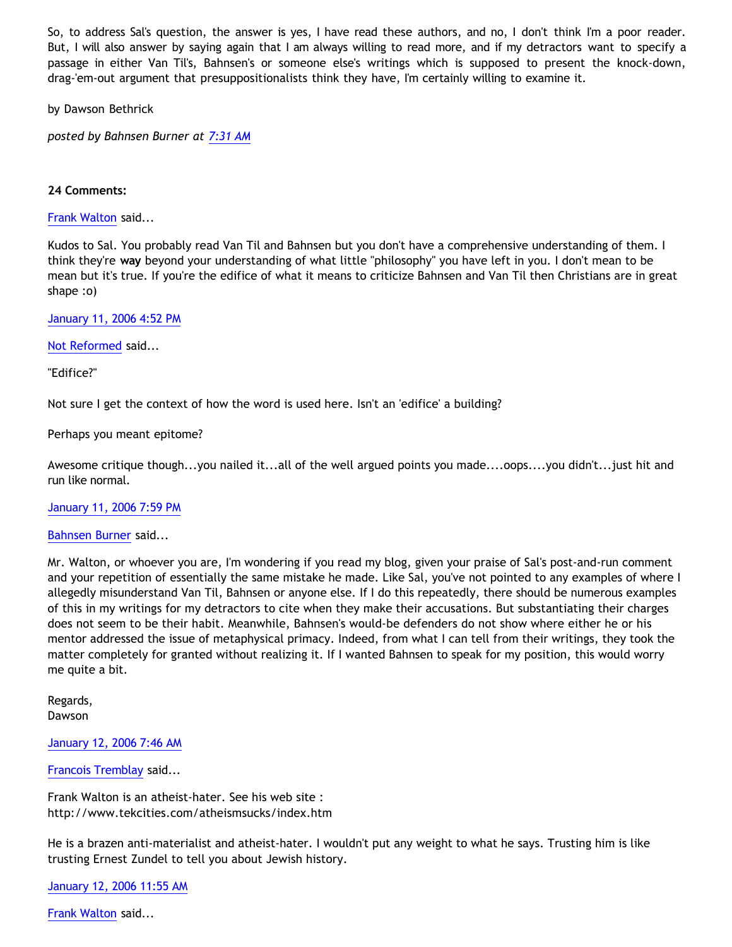So, to address Sal's question, the answer is yes, I have read these authors, and no, I don't think I'm a poor reader. But, I will also answer by saying again that I am always willing to read more, and if my detractors want to specify a passage in either Van Til's, Bahnsen's or someone else's writings which is supposed to present the knock-down, drag-'em-out argument that presuppositionalists think they have, I'm certainly willing to examine it.

by Dawson Bethrick

*posted by Bahnsen Burner at [7:31 AM](http://bahnsenburner.blogspot.com/2006/01/dear-sal.html)*

## **24 Comments:**

[Frank Walton](http://www.blogger.com/profile/10663796) said...

Kudos to Sal. You probably read Van Til and Bahnsen but you don't have a comprehensive understanding of them. I think they're **way** beyond your understanding of what little "philosophy" you have left in you. I don't mean to be mean but it's true. If you're the edifice of what it means to criticize Bahnsen and Van Til then Christians are in great shape :o)

[January 11, 2006 4:52 PM](http://bahnsenburner.blogspot.com/2006/01/113702716021392304)

[Not Reformed](http://www.blogger.com/profile/8159639) said...

"Edifice?"

Not sure I get the context of how the word is used here. Isn't an 'edifice' a building?

Perhaps you meant epitome?

Awesome critique though...you nailed it...all of the well argued points you made....oops....you didn't...just hit and run like normal.

[January 11, 2006 7:59 PM](http://bahnsenburner.blogspot.com/2006/01/113703838148209695)

[Bahnsen Burner](http://www.blogger.com/profile/7766918) said...

Mr. Walton, or whoever you are, I'm wondering if you read my blog, given your praise of Sal's post-and-run comment and your repetition of essentially the same mistake he made. Like Sal, you've not pointed to any examples of where I allegedly misunderstand Van Til, Bahnsen or anyone else. If I do this repeatedly, there should be numerous examples of this in my writings for my detractors to cite when they make their accusations. But substantiating their charges does not seem to be their habit. Meanwhile, Bahnsen's would-be defenders do not show where either he or his mentor addressed the issue of metaphysical primacy. Indeed, from what I can tell from their writings, they took the matter completely for granted without realizing it. If I wanted Bahnsen to speak for my position, this would worry me quite a bit.

Regards, Dawson

[January 12, 2006 7:46 AM](http://bahnsenburner.blogspot.com/2006/01/113708078743468494)

[Francois Tremblay](http://www.blogger.com/profile/7715861) said...

Frank Walton is an atheist-hater. See his web site : <http://www.tekcities.com/atheismsucks/index.htm>

He is a brazen anti-materialist and atheist-hater. I wouldn't put any weight to what he says. Trusting him is like trusting Ernest Zundel to tell you about Jewish history.

[January 12, 2006 11:55 AM](http://bahnsenburner.blogspot.com/2006/01/113709571670684342)

[Frank Walton](http://www.blogger.com/profile/10663796) said...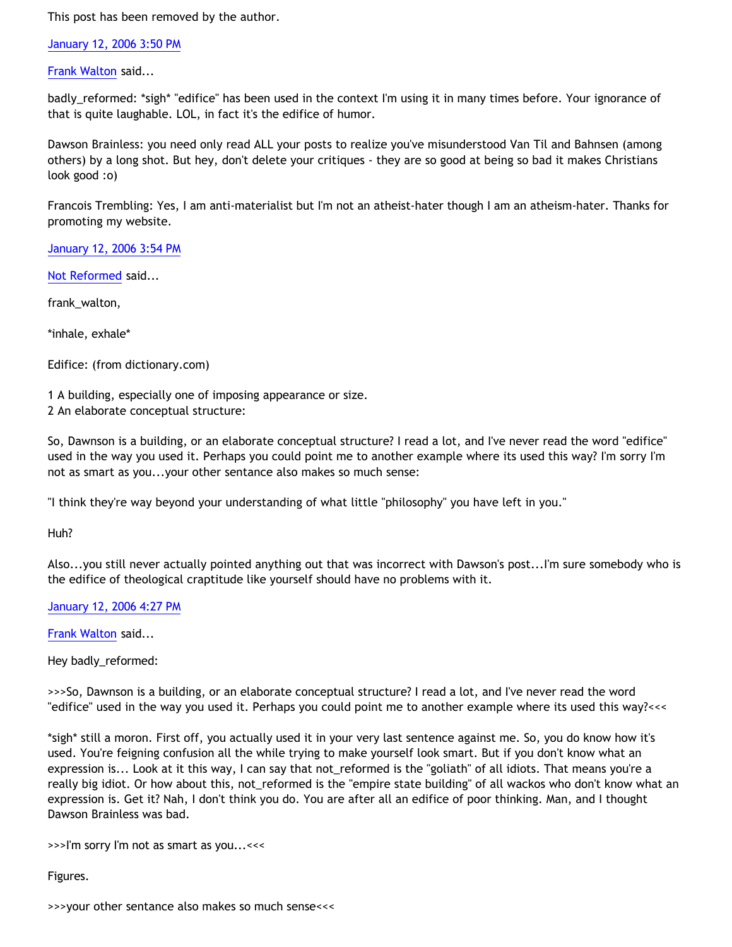This post has been removed by the author.

[January 12, 2006 3:50 PM](http://bahnsenburner.blogspot.com/2006/01/113710984266681919)

[Frank Walton](http://www.blogger.com/profile/10663796) said...

badly\_reformed: \*sigh\* "edifice" has been used in the context I'm using it in many times before. Your ignorance of that is quite laughable. LOL, in fact it's the edifice of humor.

Dawson Brainless: you need only read ALL your posts to realize you've misunderstood Van Til and Bahnsen (among others) by a long shot. But hey, don't delete your critiques - they are so good at being so bad it makes Christians look good :o)

Francois Trembling: Yes, I am anti-materialist but I'm not an atheist-hater though I am an atheism-hater. Thanks for promoting my website.

[January 12, 2006 3:54 PM](http://bahnsenburner.blogspot.com/2006/01/113711004208621523)

[Not Reformed](http://www.blogger.com/profile/8159639) said...

frank\_walton,

\*inhale, exhale\*

Edifice: (from dictionary.com)

1 A building, especially one of imposing appearance or size. 2 An elaborate conceptual structure:

So, Dawnson is a building, or an elaborate conceptual structure? I read a lot, and I've never read the word "edifice" used in the way you used it. Perhaps you could point me to another example where its used this way? I'm sorry I'm not as smart as you...your other sentance also makes so much sense:

"I think they're way beyond your understanding of what little "philosophy" you have left in you."

Huh?

Also...you still never actually pointed anything out that was incorrect with Dawson's post...I'm sure somebody who is the edifice of theological craptitude like yourself should have no problems with it.

[January 12, 2006 4:27 PM](http://bahnsenburner.blogspot.com/2006/01/113711205480574074)

[Frank Walton](http://www.blogger.com/profile/10663796) said...

Hey badly\_reformed:

>>>So, Dawnson is a building, or an elaborate conceptual structure? I read a lot, and I've never read the word "edifice" used in the way you used it. Perhaps you could point me to another example where its used this way?<<<

\*sigh\* still a moron. First off, you actually used it in your very last sentence against me. So, you do know how it's used. You're feigning confusion all the while trying to make yourself look smart. But if you don't know what an expression is... Look at it this way, I can say that not\_reformed is the "goliath" of all idiots. That means you're a really big idiot. Or how about this, not\_reformed is the "empire state building" of all wackos who don't know what an expression is. Get it? Nah, I don't think you do. You are after all an edifice of poor thinking. Man, and I thought Dawson Brainless was bad.

>>>I'm sorry I'm not as smart as you...<<<

Figures.

>>>your other sentance also makes so much sense<<<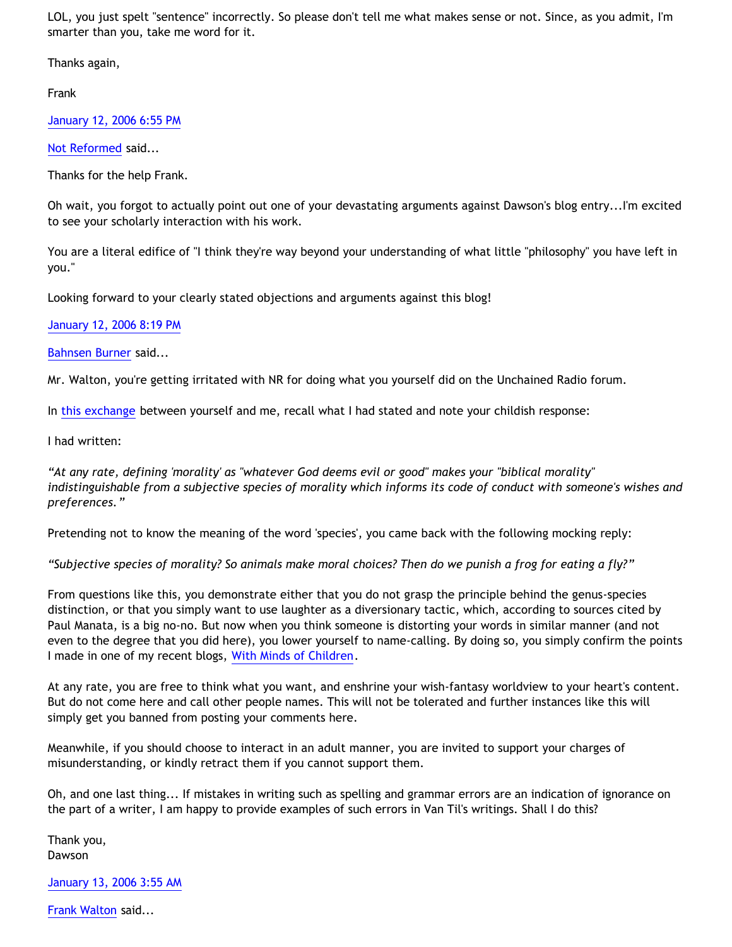LOL, you just spelt "sentence" incorrectly. So please don't tell me what makes sense or not. Since, as you admit, I'm smarter than you, take me word for it.

Thanks again,

Frank

[January 12, 2006 6:55 PM](http://bahnsenburner.blogspot.com/2006/01/113712090504954439)

[Not Reformed](http://www.blogger.com/profile/8159639) said...

Thanks for the help Frank.

Oh wait, you forgot to actually point out one of your devastating arguments against Dawson's blog entry...I'm excited to see your scholarly interaction with his work.

You are a literal edifice of "I think they're way beyond your understanding of what little "philosophy" you have left in you."

Looking forward to your clearly stated objections and arguments against this blog!

[January 12, 2006 8:19 PM](http://bahnsenburner.blogspot.com/2006/01/113712597519822351)

[Bahnsen Burner](http://www.blogger.com/profile/7766918) said...

Mr. Walton, you're getting irritated with NR for doing what you yourself did on the Unchained Radio forum.

In [this exchange](http://www.unchainedradio.com/nuke/modules.php?name=Forums&file=viewtopic&p=8152&highlight=) between yourself and me, recall what I had stated and note your childish response:

I had written:

*"At any rate, defining 'morality' as "whatever God deems evil or good" makes your "biblical morality" indistinguishable from a subjective species of morality which informs its code of conduct with someone's wishes and preferences."*

Pretending not to know the meaning of the word 'species', you came back with the following mocking reply:

*"Subjective species of morality? So animals make moral choices? Then do we punish a frog for eating a fly?"*

From questions like this, you demonstrate either that you do not grasp the principle behind the genus-species distinction, or that you simply want to use laughter as a diversionary tactic, which, according to sources cited by Paul Manata, is a big no-no. But now when you think someone is distorting your words in similar manner (and not even to the degree that you did here), you lower yourself to name-calling. By doing so, you simply confirm the points I made in one of my recent blogs, [With Minds of Children.](http://bahnsenburner.blogspot.com/2005/12/with-minds-of-children.html)

At any rate, you are free to think what you want, and enshrine your wish-fantasy worldview to your heart's content. But do not come here and call other people names. This will not be tolerated and further instances like this will simply get you banned from posting your comments here.

Meanwhile, if you should choose to interact in an adult manner, you are invited to support your charges of misunderstanding, or kindly retract them if you cannot support them.

Oh, and one last thing... If mistakes in writing such as spelling and grammar errors are an indication of ignorance on the part of a writer, I am happy to provide examples of such errors in Van Til's writings. Shall I do this?

Thank you, Dawson

[January 13, 2006 3:55 AM](http://bahnsenburner.blogspot.com/2006/01/113715335740767405)

[Frank Walton](http://www.blogger.com/profile/10663796) said...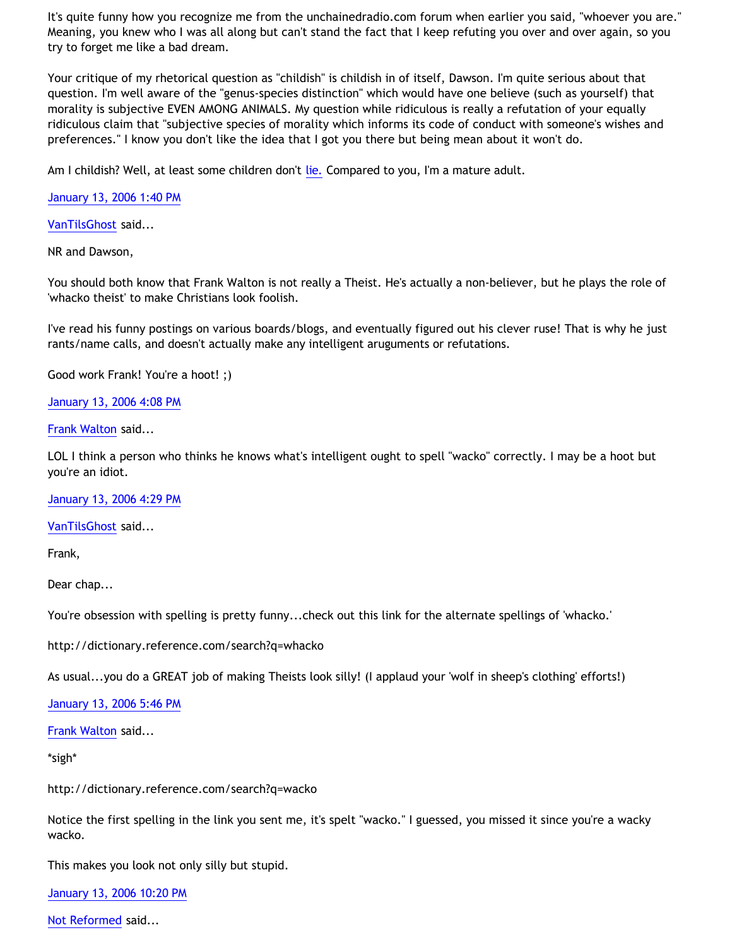It's quite funny how you recognize me from the unchainedradio.com forum when earlier you said, "whoever you are." Meaning, you knew who I was all along but can't stand the fact that I keep refuting you over and over again, so you try to forget me like a bad dream.

Your critique of my rhetorical question as "childish" is childish in of itself, Dawson. I'm quite serious about that question. I'm well aware of the "genus-species distinction" which would have one believe (such as yourself) that morality is subjective EVEN AMONG ANIMALS. My question while ridiculous is really a refutation of your equally ridiculous claim that "subjective species of morality which informs its code of conduct with someone's wishes and preferences." I know you don't like the idea that I got you there but being mean about it won't do.

Am I childish? Well, at least some children don't [lie.](http://atheismsucks.blogspot.com/2005/12/dawson-bethrick-caught-lying.html) Compared to you, I'm a mature adult.

[January 13, 2006 1:40 PM](http://bahnsenburner.blogspot.com/2006/01/113718841920735407)

[VanTilsGhost](http://www.blogger.com/profile/9496584) said...

NR and Dawson,

You should both know that Frank Walton is not really a Theist. He's actually a non-believer, but he plays the role of 'whacko theist' to make Christians look foolish.

I've read his funny postings on various boards/blogs, and eventually figured out his clever ruse! That is why he just rants/name calls, and doesn't actually make any intelligent aruguments or refutations.

Good work Frank! You're a hoot! ;)

[January 13, 2006 4:08 PM](http://bahnsenburner.blogspot.com/2006/01/113719731225286792)

[Frank Walton](http://www.blogger.com/profile/10663796) said...

LOL I think a person who thinks he knows what's intelligent ought to spell "wacko" correctly. I may be a hoot but you're an idiot.

[January 13, 2006 4:29 PM](http://bahnsenburner.blogspot.com/2006/01/113719854200247163)

[VanTilsGhost](http://www.blogger.com/profile/9496584) said...

Frank,

Dear chap...

You're obsession with spelling is pretty funny...check out this link for the alternate spellings of 'whacko.'

<http://dictionary.reference.com/search?q=whacko>

As usual...you do a GREAT job of making Theists look silly! (I applaud your 'wolf in sheep's clothing' efforts!)

[January 13, 2006 5:46 PM](http://bahnsenburner.blogspot.com/2006/01/113720319509617780)

[Frank Walton](http://www.blogger.com/profile/10663796) said...

\*sigh\*

<http://dictionary.reference.com/search?q=wacko>

Notice the first spelling in the link you sent me, it's spelt "wacko." I guessed, you missed it since you're a wacky wacko.

This makes you look not only silly but stupid.

[January 13, 2006 10:20 PM](http://bahnsenburner.blogspot.com/2006/01/113721965497237087)

[Not Reformed](http://www.blogger.com/profile/8159639) said...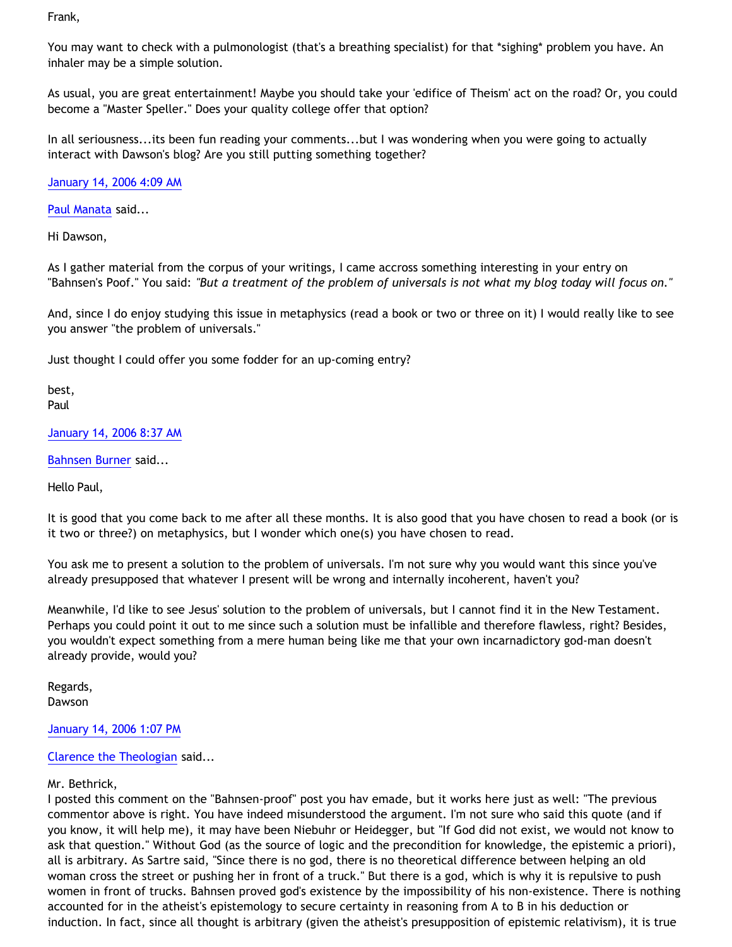Frank,

You may want to check with a pulmonologist (that's a breathing specialist) for that \*sighing\* problem you have. An inhaler may be a simple solution.

As usual, you are great entertainment! Maybe you should take your 'edifice of Theism' act on the road? Or, you could become a "Master Speller." Does your quality college offer that option?

In all seriousness...its been fun reading your comments...but I was wondering when you were going to actually interact with Dawson's blog? Are you still putting something together?

[January 14, 2006 4:09 AM](http://bahnsenburner.blogspot.com/2006/01/113724056572328643)

[Paul Manata](http://www.blogger.com/profile/7464842) said...

Hi Dawson,

As I gather material from the corpus of your writings, I came accross something interesting in your entry on "Bahnsen's Poof." You said: *"But a treatment of the problem of universals is not what my blog today will focus on."*

And, since I do enjoy studying this issue in metaphysics (read a book or two or three on it) I would really like to see you answer "the problem of universals."

Just thought I could offer you some fodder for an up-coming entry?

best, Paul

[January 14, 2006 8:37 AM](http://bahnsenburner.blogspot.com/2006/01/113725663763228867)

[Bahnsen Burner](http://www.blogger.com/profile/7766918) said...

Hello Paul,

It is good that you come back to me after all these months. It is also good that you have chosen to read a book (or is it two or three?) on metaphysics, but I wonder which one(s) you have chosen to read.

You ask me to present a solution to the problem of universals. I'm not sure why you would want this since you've already presupposed that whatever I present will be wrong and internally incoherent, haven't you?

Meanwhile, I'd like to see Jesus' solution to the problem of universals, but I cannot find it in the New Testament. Perhaps you could point it out to me since such a solution must be infallible and therefore flawless, right? Besides, you wouldn't expect something from a mere human being like me that your own incarnadictory god-man doesn't already provide, would you?

Regards, Dawson

[January 14, 2006 1:07 PM](http://bahnsenburner.blogspot.com/2006/01/113727284907661924)

## [Clarence the Theologian](http://www.blogger.com/profile/8258058) said...

## Mr. Bethrick,

I posted this comment on the "Bahnsen-proof" post you hav emade, but it works here just as well: "The previous commentor above is right. You have indeed misunderstood the argument. I'm not sure who said this quote (and if you know, it will help me), it may have been Niebuhr or Heidegger, but "If God did not exist, we would not know to ask that question." Without God (as the source of logic and the precondition for knowledge, the epistemic a priori), all is arbitrary. As Sartre said, "Since there is no god, there is no theoretical difference between helping an old woman cross the street or pushing her in front of a truck." But there is a god, which is why it is repulsive to push women in front of trucks. Bahnsen proved god's existence by the impossibility of his non-existence. There is nothing accounted for in the atheist's epistemology to secure certainty in reasoning from A to B in his deduction or induction. In fact, since all thought is arbitrary (given the atheist's presupposition of epistemic relativism), it is true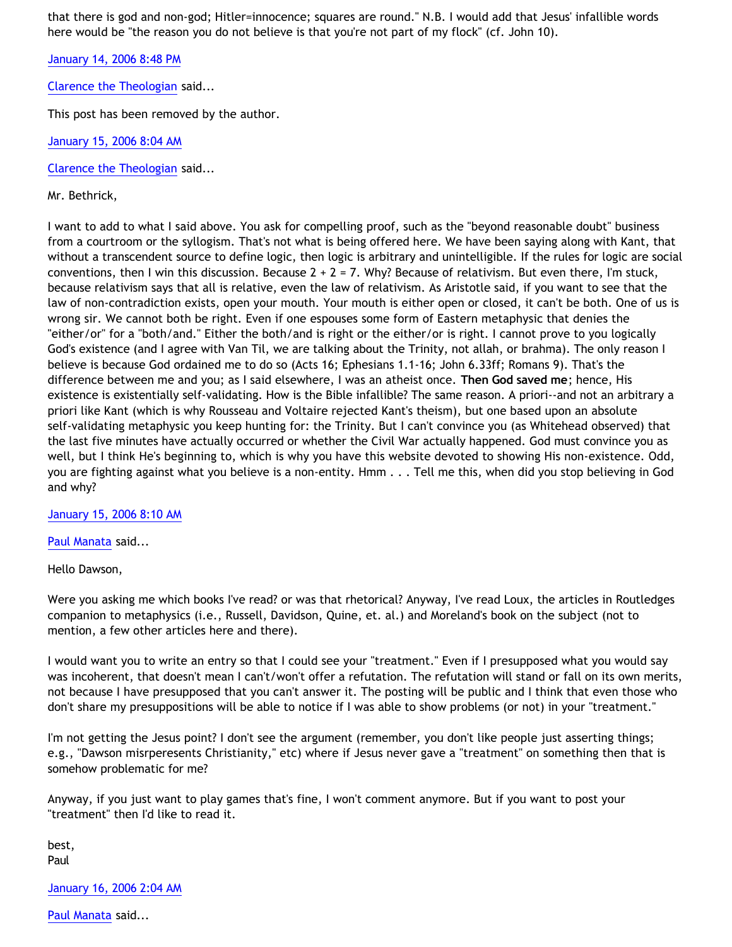that there is god and non-god; Hitler=innocence; squares are round." N.B. I would add that Jesus' infallible words here would be "the reason you do not believe is that you're not part of my flock" (cf. John 10).

[January 14, 2006 8:48 PM](http://bahnsenburner.blogspot.com/2006/01/113730052265029219)

[Clarence the Theologian](http://www.blogger.com/profile/8258058) said...

This post has been removed by the author.

[January 15, 2006 8:04 AM](http://bahnsenburner.blogspot.com/2006/01/113734107698881552)

[Clarence the Theologian](http://www.blogger.com/profile/8258058) said...

Mr. Bethrick,

I want to add to what I said above. You ask for compelling proof, such as the "beyond reasonable doubt" business from a courtroom or the syllogism. That's not what is being offered here. We have been saying along with Kant, that without a transcendent source to define logic, then logic is arbitrary and unintelligible. If the rules for logic are social conventions, then I win this discussion. Because  $2 + 2 = 7$ . Why? Because of relativism. But even there, I'm stuck, because relativism says that all is relative, even the law of relativism. As Aristotle said, if you want to see that the law of non-contradiction exists, open your mouth. Your mouth is either open or closed, it can't be both. One of us is wrong sir. We cannot both be right. Even if one espouses some form of Eastern metaphysic that denies the "either/or" for a "both/and." Either the both/and is right or the either/or is right. I cannot prove to you logically God's existence (and I agree with Van Til, we are talking about the Trinity, not allah, or brahma). The only reason I believe is because God ordained me to do so (Acts 16; Ephesians 1.1-16; John 6.33ff; Romans 9). That's the difference between me and you; as I said elsewhere, I was an atheist once. **Then God saved me**; hence, His existence is existentially self-validating. How is the Bible infallible? The same reason. A priori--and not an arbitrary a priori like Kant (which is why Rousseau and Voltaire rejected Kant's theism), but one based upon an absolute self-validating metaphysic you keep hunting for: the Trinity. But I can't convince you (as Whitehead observed) that the last five minutes have actually occurred or whether the Civil War actually happened. God must convince you as well, but I think He's beginning to, which is why you have this website devoted to showing His non-existence. Odd, you are fighting against what you believe is a non-entity. Hmm . . . Tell me this, when did you stop believing in God and why?

[January 15, 2006 8:10 AM](http://bahnsenburner.blogspot.com/2006/01/113734145361891223)

[Paul Manata](http://www.blogger.com/profile/7464842) said...

Hello Dawson,

Were you asking me which books I've read? or was that rhetorical? Anyway, I've read Loux, the articles in Routledges companion to metaphysics (i.e., Russell, Davidson, Quine, et. al.) and Moreland's book on the subject (not to mention, a few other articles here and there).

I would want you to write an entry so that I could see your "treatment." Even if I presupposed what you would say was incoherent, that doesn't mean I can't/won't offer a refutation. The refutation will stand or fall on its own merits, not because I have presupposed that you can't answer it. The posting will be public and I think that even those who don't share my presuppositions will be able to notice if I was able to show problems (or not) in your "treatment."

I'm not getting the Jesus point? I don't see the argument (remember, you don't like people just asserting things; e.g., "Dawson misrperesents Christianity," etc) where if Jesus never gave a "treatment" on something then that is somehow problematic for me?

Anyway, if you just want to play games that's fine, I won't comment anymore. But if you want to post your "treatment" then I'd like to read it.

best, Paul

[January 16, 2006 2:04 AM](http://bahnsenburner.blogspot.com/2006/01/113740589933269773)

[Paul Manata](http://www.blogger.com/profile/7464842) said...